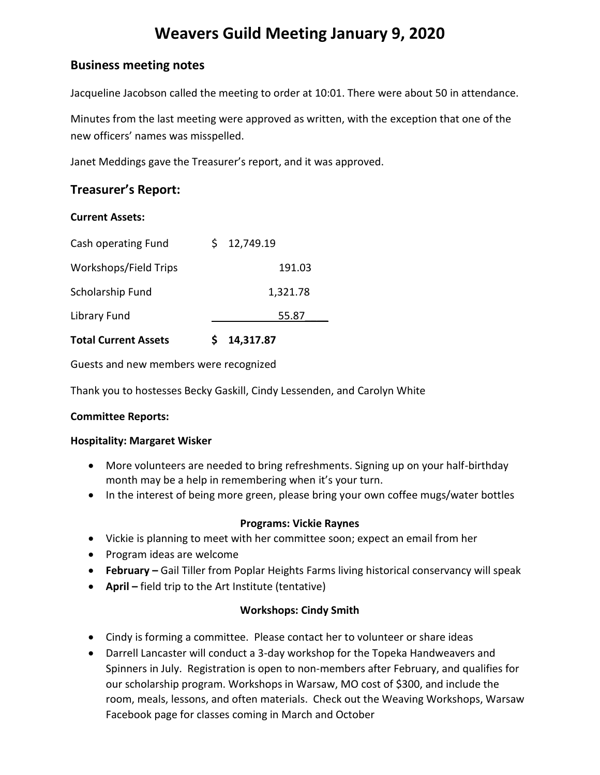# **Weavers Guild Meeting January 9, 2020**

# **Business meeting notes**

Jacqueline Jacobson called the meeting to order at 10:01. There were about 50 in attendance.

Minutes from the last meeting were approved as written, with the exception that one of the new officers' names was misspelled.

Janet Meddings gave the Treasurer's report, and it was approved.

# **Treasurer's Report:**

#### **Current Assets:**

| <b>Total Current Assets</b> | 14,317.87       |
|-----------------------------|-----------------|
| Library Fund                | 55.87           |
| Scholarship Fund            | 1,321.78        |
| Workshops/Field Trips       | 191.03          |
| Cash operating Fund         | 12,749.19<br>S. |

Guests and new members were recognized

Thank you to hostesses Becky Gaskill, Cindy Lessenden, and Carolyn White

#### **Committee Reports:**

#### **Hospitality: Margaret Wisker**

- More volunteers are needed to bring refreshments. Signing up on your half-birthday month may be a help in remembering when it's your turn.
- In the interest of being more green, please bring your own coffee mugs/water bottles

#### **Programs: Vickie Raynes**

- Vickie is planning to meet with her committee soon; expect an email from her
- Program ideas are welcome
- **February –** Gail Tiller from Poplar Heights Farms living historical conservancy will speak
- **April –** field trip to the Art Institute (tentative)

#### **Workshops: Cindy Smith**

- Cindy is forming a committee. Please contact her to volunteer or share ideas
- Darrell Lancaster will conduct a 3-day workshop for the Topeka Handweavers and Spinners in July. Registration is open to non-members after February, and qualifies for our scholarship program. Workshops in Warsaw, MO cost of \$300, and include the room, meals, lessons, and often materials. Check out the Weaving Workshops, Warsaw Facebook page for classes coming in March and October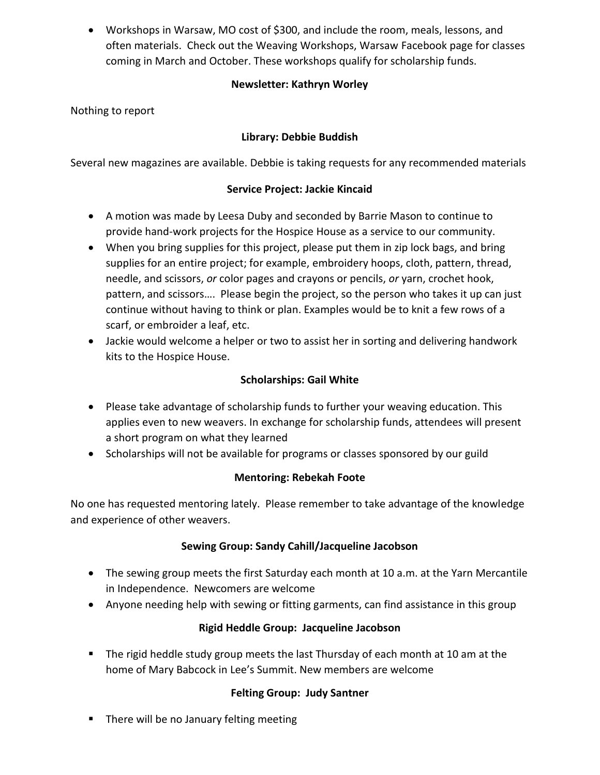Workshops in Warsaw, MO cost of \$300, and include the room, meals, lessons, and often materials. Check out the Weaving Workshops, Warsaw Facebook page for classes coming in March and October. These workshops qualify for scholarship funds.

# **Newsletter: Kathryn Worley**

Nothing to report

# **Library: Debbie Buddish**

Several new magazines are available. Debbie is taking requests for any recommended materials

## **Service Project: Jackie Kincaid**

- A motion was made by Leesa Duby and seconded by Barrie Mason to continue to provide hand-work projects for the Hospice House as a service to our community.
- When you bring supplies for this project, please put them in zip lock bags, and bring supplies for an entire project; for example, embroidery hoops, cloth, pattern, thread, needle, and scissors, *or* color pages and crayons or pencils, *or* yarn, crochet hook, pattern, and scissors…. Please begin the project, so the person who takes it up can just continue without having to think or plan. Examples would be to knit a few rows of a scarf, or embroider a leaf, etc.
- Jackie would welcome a helper or two to assist her in sorting and delivering handwork kits to the Hospice House.

## **Scholarships: Gail White**

- Please take advantage of scholarship funds to further your weaving education. This applies even to new weavers. In exchange for scholarship funds, attendees will present a short program on what they learned
- Scholarships will not be available for programs or classes sponsored by our guild

## **Mentoring: Rebekah Foote**

No one has requested mentoring lately. Please remember to take advantage of the knowledge and experience of other weavers.

# **Sewing Group: Sandy Cahill/Jacqueline Jacobson**

- The sewing group meets the first Saturday each month at 10 a.m. at the Yarn Mercantile in Independence. Newcomers are welcome
- Anyone needing help with sewing or fitting garments, can find assistance in this group

## **Rigid Heddle Group: Jacqueline Jacobson**

 The rigid heddle study group meets the last Thursday of each month at 10 am at the home of Mary Babcock in Lee's Summit. New members are welcome

## **Felting Group: Judy Santner**

**There will be no January felting meeting**